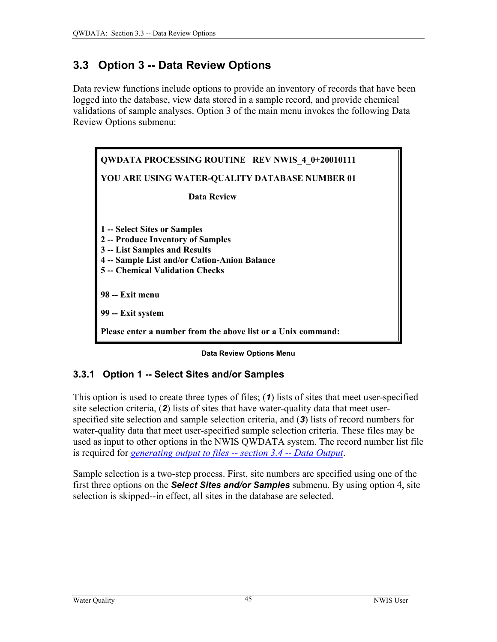# <span id="page-0-0"></span>**3.3 Option 3 -- Data Review Options**

Data review functions include options to provide an inventory of records that have been logged into the database, view data stored in a sample record, and provide chemical validations of sample analyses. Option 3 of the main menu invokes the following Data Review Options submenu:



**Data Review Options Menu** 

# **3.3.1 Option 1 -- Select Sites and/or Samples**

This option is used to create three types of files; (*1*) lists of sites that meet user-specified site selection criteria, (*2*) lists of sites that have water-quality data that meet userspecified site selection and sample selection criteria, and (*3*) lists of record numbers for water-quality data that meet user-specified sample selection criteria. These files may be used as input to other options in the NWIS QWDATA system. The record number list file is required for *generating output to files -- section 3.4 -- Data Output*.

Sample selection is a two-step process. First, site numbers are specified using one of the first three options on the *Select Sites and/or Samples* submenu. By using option 4, site selection is skipped--in effect, all sites in the database are selected.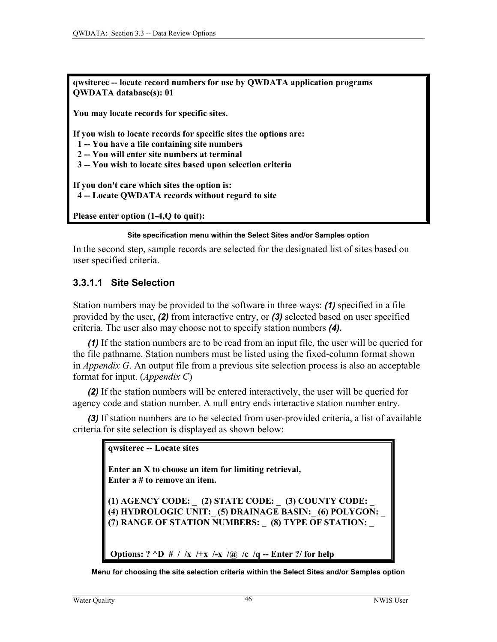<span id="page-1-0"></span>**qwsiterec -- locate record numbers for use by QWDATA application programs QWDATA database(s): 01** 

**You may locate records for specific sites.** 

**If you wish to locate records for specific sites the options are:** 

 **1 -- You have a file containing site numbers** 

 **2 -- You will enter site numbers at terminal** 

 **3 -- You wish to locate sites based upon selection criteria** 

**If you don't care which sites the option is: 4 -- Locate QWDATA records without regard to site** 

**Please enter option (1-4,Q to quit):** 

#### **Site specification menu within the Select Sites and/or Samples option**

In the second step, sample records are selected for the designated list of sites based on user specified criteria.

### **3.3.1.1 Site Selection**

Station numbers may be provided to the software in three ways: *(1)* specified in a file provided by the user, *(2)* from interactive entry, or *(3)* selected based on user specified criteria. The user also may choose not to specify station numbers *(4).*

*(1)* If the station numbers are to be read from an input file, the user will be queried for the file pathname. Station numbers must be listed using the fixed-column format shown in *Appendix G*. An output file from a previous site selection process is also an acceptable format for input. (*Appendix C*)

*(2)* If the station numbers will be entered interactively, the user will be queried for agency code and station number. A null entry ends interactive station number entry.

*(3)* If station numbers are to be selected from user-provided criteria, a list of available criteria for site selection is displayed as shown below:

**qwsiterec -- Locate sites** 

**Enter an X to choose an item for limiting retrieval, Enter a # to remove an item.** 

**(1) AGENCY CODE: \_ (2) STATE CODE: \_ (3) COUNTY CODE: \_ (4) HYDROLOGIC UNIT:\_ (5) DRAINAGE BASIN:\_ (6) POLYGON: \_ (7) RANGE OF STATION NUMBERS: \_ (8) TYPE OF STATION: \_** 

 **Options: ? ^D # / /x /+x /-x /@ /c /q -- Enter ?/ for help** 

**Menu for choosing the site selection criteria within the Select Sites and/or Samples option**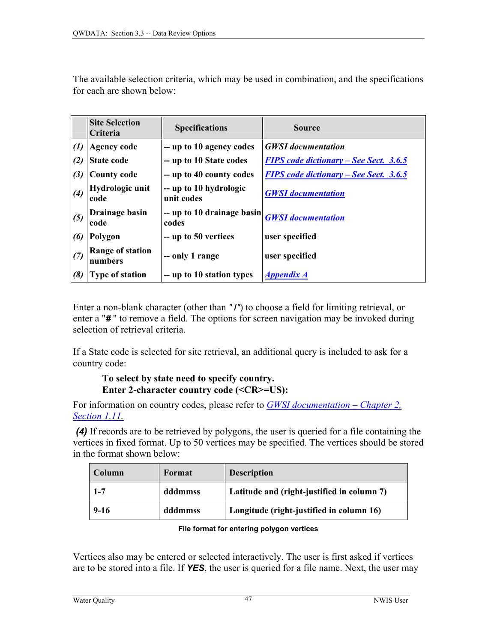<span id="page-2-0"></span>The available selection criteria, which may be used in combination, and the specifications for each are shown below:

|                   | <b>Site Selection</b><br><b>Criteria</b> | <b>Specifications</b>                | <b>Source</b>                                 |
|-------------------|------------------------------------------|--------------------------------------|-----------------------------------------------|
| $\left( l\right)$ | <b>Agency code</b>                       | -- up to 10 agency codes             | <b>GWSI</b> documentation                     |
| (2)               | <b>State code</b>                        | -- up to 10 State codes              | <b>FIPS</b> code dictionary – See Sect. 3.6.5 |
| (3)               | <b>County code</b>                       | -- up to 40 county codes             | <b>FIPS</b> code dictionary – See Sect. 3.6.5 |
| (4)               | Hydrologic unit<br>code                  | -- up to 10 hydrologic<br>unit codes | <b>GWSI</b> documentation                     |
| (5)               | Drainage basin<br>code                   | -- up to 10 drainage basin<br>codes  | <b>GWSI</b> documentation                     |
| (6)               | Polygon                                  | -- up to 50 vertices                 | user specified                                |
| (7)               | Range of station<br>numbers              | - only 1 range                       | user specified                                |
| (8)               | <b>Type of station</b>                   | -- up to 10 station types            | <b>Appendix A</b>                             |

Enter a non-blank character (other than *"* **/***"*) to choose a field for limiting retrieval, or enter a "*#* " to remove a field. The options for screen navigation may be invoked during selection of retrieval criteria.

If a State code is selected for site retrieval, an additional query is included to ask for a country code:

# **To select by state need to specify country. Enter 2-character country code (<CR>=US):**

For information on country codes, please refer to *[GWSI documentation – Chapter 2,](#page-1-0)  [Section 1.11.](#page-7-0)*

 *(4)* If records are to be retrieved by polygons, the user is queried for a file containing the vertices in fixed format. Up to 50 vertices may be specified. The vertices should be stored in the format shown below:

| Column  | Format  | <b>Description</b>                         |
|---------|---------|--------------------------------------------|
| $1 - 7$ | dddmmss | Latitude and (right-justified in column 7) |
| $9-16$  | dddmmss | Longitude (right-justified in column 16)   |

**File format for entering polygon vertices** 

Vertices also may be entered or selected interactively. The user is first asked if vertices are to be stored into a file. If *YES*, the user is queried for a file name. Next, the user may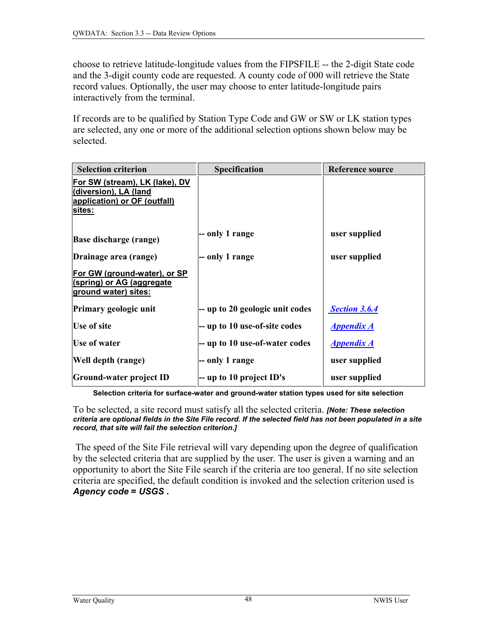choose to retrieve latitude-longitude values from the FIPSFILE -- the 2-digit State code and the 3-digit county code are requested. A county code of 000 will retrieve the State record values. Optionally, the user may choose to enter latitude-longitude pairs interactively from the terminal.

If records are to be qualified by Station Type Code and GW or SW or LK station types are selected, any one or more of the additional selection options shown below may be selected.

| <b>Selection criterion</b>                                                                        | <b>Specification</b>                           | <b>Reference source</b> |
|---------------------------------------------------------------------------------------------------|------------------------------------------------|-------------------------|
| For SW (stream), LK (lake), DV<br>(diversion), LA (land<br>application) or OF (outfall)<br>sites: |                                                |                         |
| <b>Base discharge (range)</b>                                                                     | -- only 1 range                                | user supplied           |
| Drainage area (range)                                                                             | -- only 1 range                                | user supplied           |
| For GW (ground-water), or SP<br>(spring) or AG (aggregate<br>ground water) sites:                 |                                                |                         |
| Primary geologic unit                                                                             | $\left  -\right $ up to 20 geologic unit codes | <b>Section 3.6.4</b>    |
| Use of site                                                                                       | -- up to 10 use-of-site codes                  | <u>Appendix A</u>       |
| Use of water                                                                                      | -- up to 10 use-of-water codes                 | <b>Appendix A</b>       |
| Well depth (range)                                                                                | - only 1 range                                 | user supplied           |
| Ground-water project ID                                                                           | $-$ up to 10 project ID's                      | user supplied           |

**Selection criteria for surface-water and ground-water station types used for site selection** 

To be selected, a site record must satisfy all the selected criteria. *[Note: These selection criteria are optional fields in the Site File record. If the selected field has not been populated in a site record, that site will fail the selection criterion.]*

The speed of the Site File retrieval will vary depending upon the degree of qualification by the selected criteria that are supplied by the user. The user is given a warning and an opportunity to abort the Site File search if the criteria are too general. If no site selection criteria are specified, the default condition is invoked and the selection criterion used is *Agency code* **=** *USGS* **.**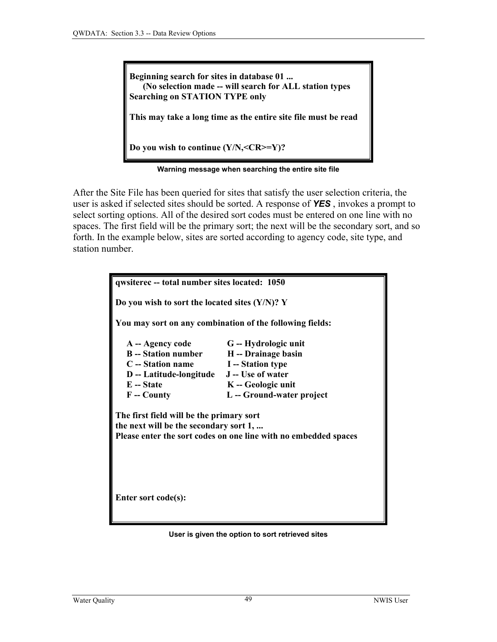**Beginning search for sites in database 01 ... (No selection made -- will search for ALL station types Searching on STATION TYPE only** 

**This may take a long time as the entire site file must be read** 

**Do you wish to continue (Y/N,<CR>=Y)?** 

**Warning message when searching the entire site file**

After the Site File has been queried for sites that satisfy the user selection criteria, the user is asked if selected sites should be sorted. A response of *YES* , invokes a prompt to select sorting options. All of the desired sort codes must be entered on one line with no spaces. The first field will be the primary sort; the next will be the secondary sort, and so forth. In the example below, sites are sorted according to agency code, site type, and station number.

| qwsiterec -- total number sites located: 1050                                                                                                         |                                                          |  |
|-------------------------------------------------------------------------------------------------------------------------------------------------------|----------------------------------------------------------|--|
| Do you wish to sort the located sites $(Y/N)$ ? Y                                                                                                     |                                                          |  |
|                                                                                                                                                       | You may sort on any combination of the following fields: |  |
| A -- Agency code                                                                                                                                      | G -- Hydrologic unit                                     |  |
| B -- Station number H -- Drainage basin                                                                                                               |                                                          |  |
| C -- Station name                                                                                                                                     | <b>I</b> -- Station type                                 |  |
| D -- Latitude-longitude J -- Use of water                                                                                                             |                                                          |  |
| E -- State                                                                                                                                            | K-Geologic unit                                          |  |
| F -- County                                                                                                                                           | L -- Ground-water project                                |  |
| The first field will be the primary sort<br>the next will be the secondary sort 1,<br>Please enter the sort codes on one line with no embedded spaces |                                                          |  |
| Enter sort code(s):                                                                                                                                   |                                                          |  |

**User is given the option to sort retrieved sites**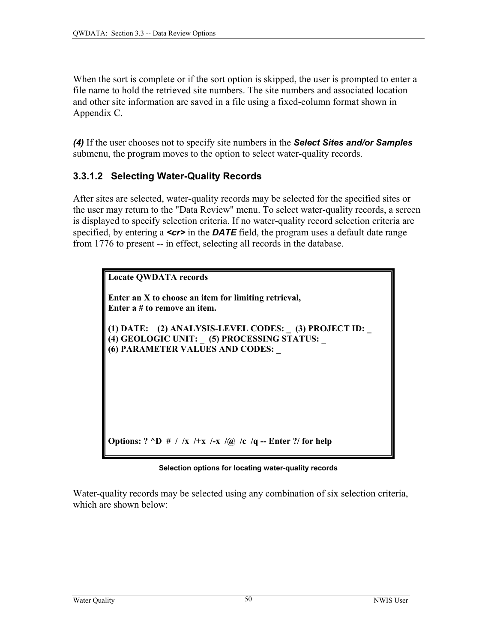When the sort is complete or if the sort option is skipped, the user is prompted to enter a file name to hold the retrieved site numbers. The site numbers and associated location and other site information are saved in a file using a fixed-column format shown in Appendix C.

*(4)* If the user chooses not to specify site numbers in the *Select Sites and/or Samples* submenu, the program moves to the option to select water-quality records.

# **3.3.1.2 Selecting Water-Quality Records**

After sites are selected, water-quality records may be selected for the specified sites or the user may return to the "Data Review" menu. To select water-quality records, a screen is displayed to specify selection criteria. If no water-quality record selection criteria are specified, by entering a **<cr>** in the **DATE** field, the program uses a default date range from 1776 to present -- in effect, selecting all records in the database.

| <b>Locate QWDATA records</b>                                                                                                              |
|-------------------------------------------------------------------------------------------------------------------------------------------|
| Enter an X to choose an item for limiting retrieval,<br>Enter a # to remove an item.                                                      |
| (1) DATE: (2) ANALYSIS-LEVEL CODES: _ (3) PROJECT ID: _<br>(4) GEOLOGIC UNIT: _ (5) PROCESSING STATUS:<br>(6) PARAMETER VALUES AND CODES: |
|                                                                                                                                           |
|                                                                                                                                           |
| Options: ? ^D # / /x /+x /-x /@ /c /q -- Enter ?/ for help                                                                                |

**Selection options for locating water-quality records**

Water-quality records may be selected using any combination of six selection criteria, which are shown below: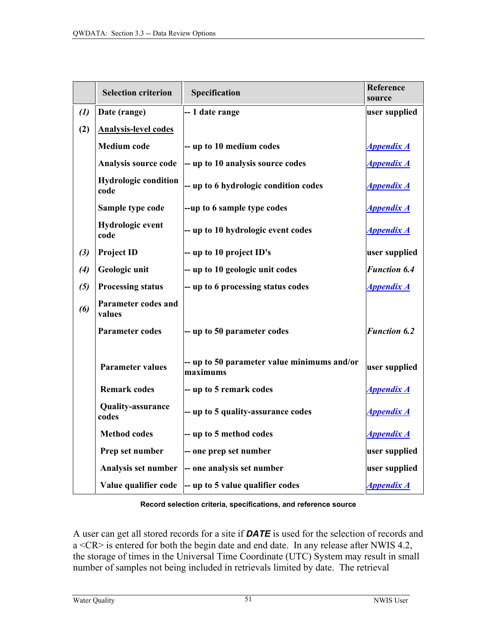<span id="page-6-0"></span>

|                   | <b>Selection criterion</b>           | Specification                                           | Reference<br>source      |
|-------------------|--------------------------------------|---------------------------------------------------------|--------------------------|
| $\left( l\right)$ | Date (range)                         | -- 1 date range                                         | user supplied            |
| (2)               | <b>Analysis-level codes</b>          |                                                         |                          |
|                   | <b>Medium</b> code                   | -- up to 10 medium codes                                | <b>Appendix A</b>        |
|                   | Analysis source code                 | -- up to 10 analysis source codes                       | <b>Appendix A</b>        |
|                   | <b>Hydrologic condition</b><br>code  | -- up to 6 hydrologic condition codes                   | <i><b>Appendix A</b></i> |
|                   | Sample type code                     | --up to 6 sample type codes                             | <b>Appendix A</b>        |
|                   | Hydrologic event<br>code             | -- up to 10 hydrologic event codes                      | <b>Appendix A</b>        |
| (3)               | <b>Project ID</b>                    | -- up to 10 project ID's                                | user supplied            |
| (4)               | Geologic unit                        | -- up to 10 geologic unit codes                         | <b>Function 6.4</b>      |
| (5)               | <b>Processing status</b>             | -- up to 6 processing status codes                      | <b>Appendix A</b>        |
| (6)               | <b>Parameter codes and</b><br>values |                                                         |                          |
|                   | <b>Parameter codes</b>               | -- up to 50 parameter codes                             | <b>Function 6.2</b>      |
|                   | <b>Parameter values</b>              | -- up to 50 parameter value minimums and/or<br>maximums | user supplied            |
|                   | <b>Remark codes</b>                  | -- up to 5 remark codes                                 | <b>Appendix A</b>        |
|                   | <b>Quality-assurance</b><br>codes    | -- up to 5 quality-assurance codes                      | <u>Appendix A</u>        |
|                   | <b>Method codes</b>                  | -- up to 5 method codes                                 | <u>Appendix A</u>        |
|                   | Prep set number                      | -- one prep set number                                  | user supplied            |
|                   | Analysis set number                  | -- one analysis set number                              | user supplied            |
|                   | Value qualifier code                 | $\left  -\right $ up to 5 value qualifier codes         | <b>Appendix A</b>        |

#### **Record selection criteria, specifications, and reference source**

A user can get all stored records for a site if *DATE* is used for the selection of records and a <CR> is entered for both the begin date and end date. In any release after NWIS 4.2, the storage of times in the Universal Time Coordinate (UTC) System may result in small number of samples not being included in retrievals limited by date. The retrieval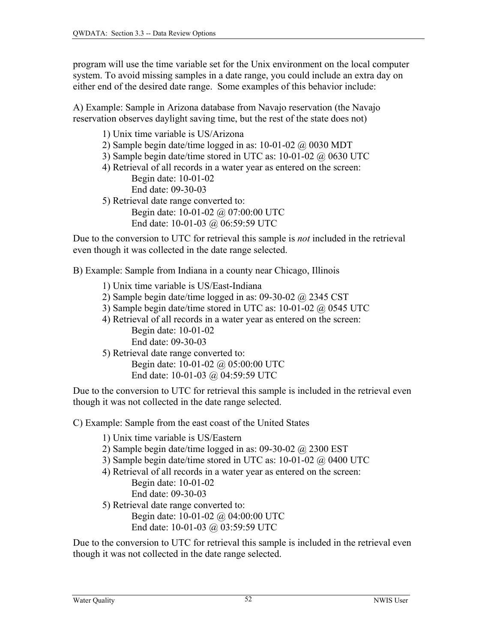<span id="page-7-0"></span>program will use the time variable set for the Unix environment on the local computer system. To avoid missing samples in a date range, you could include an extra day on either end of the desired date range. Some examples of this behavior include:

A) Example: Sample in Arizona database from Navajo reservation (the Navajo reservation observes daylight saving time, but the rest of the state does not)

1) Unix time variable is US/Arizona

- 2) Sample begin date/time logged in as:  $10-01-02$   $\omega$  0030 MDT
- 3) Sample begin date/time stored in UTC as: 10-01-02 @ 0630 UTC
- 4) Retrieval of all records in a water year as entered on the screen: Begin date: 10-01-02 End date: 09-30-03
- 5) Retrieval date range converted to: Begin date: 10-01-02 @ 07:00:00 UTC End date: 10-01-03 @ 06:59:59 UTC

Due to the conversion to UTC for retrieval this sample is *not* included in the retrieval even though it was collected in the date range selected.

B) Example: Sample from Indiana in a county near Chicago, Illinois

- 1) Unix time variable is US/East-Indiana
- 2) Sample begin date/time logged in as:  $09-30-02$  @ 2345 CST
- 3) Sample begin date/time stored in UTC as: 10-01-02 @ 0545 UTC
- 4) Retrieval of all records in a water year as entered on the screen: Begin date: 10-01-02 End date: 09-30-03

5) Retrieval date range converted to: Begin date: 10-01-02 @ 05:00:00 UTC End date: 10-01-03 @ 04:59:59 UTC

Due to the conversion to UTC for retrieval this sample is included in the retrieval even though it was not collected in the date range selected.

C) Example: Sample from the east coast of the United States

- 1) Unix time variable is US/Eastern
- 2) Sample begin date/time logged in as:  $09-30-02$   $\omega$  2300 EST
- 3) Sample begin date/time stored in UTC as: 10-01-02 @ 0400 UTC
- 4) Retrieval of all records in a water year as entered on the screen: Begin date: 10-01-02 End date: 09-30-03
- 5) Retrieval date range converted to: Begin date: 10-01-02 @ 04:00:00 UTC End date: 10-01-03 @ 03:59:59 UTC

Due to the conversion to UTC for retrieval this sample is included in the retrieval even though it was not collected in the date range selected.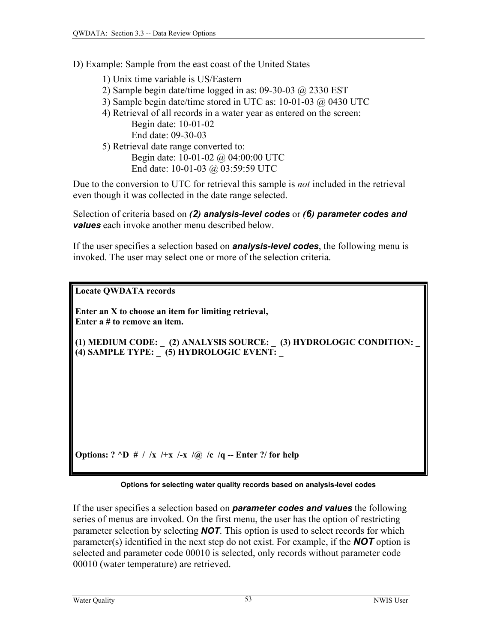D) Example: Sample from the east coast of the United States

1) Unix time variable is US/Eastern

2) Sample begin date/time logged in as: 09-30-03  $\omega$  2330 EST

- 3) Sample begin date/time stored in UTC as: 10-01-03 @ 0430 UTC
- 4) Retrieval of all records in a water year as entered on the screen: Begin date: 10-01-02 End date: 09-30-03
- 5) Retrieval date range converted to:

Begin date: 10-01-02 @ 04:00:00 UTC End date: 10-01-03 @ 03:59:59 UTC

Due to the conversion to UTC for retrieval this sample is *not* included in the retrieval even though it was collected in the date range selected.

Selection of criteria based on *(2) analysis-level codes* or *(6) parameter codes and values* each invoke another menu described below.

If the user specifies a selection based on *analysis-level codes*, the following menu is invoked. The user may select one or more of the selection criteria.

**Locate QWDATA records** 

**Enter an X to choose an item for limiting retrieval, Enter a # to remove an item.** 

**(1) MEDIUM CODE: \_ (2) ANALYSIS SOURCE: \_ (3) HYDROLOGIC CONDITION: \_ (4) SAMPLE TYPE: \_ (5) HYDROLOGIC EVENT: \_** 

**Options:** ? ^D # / /x /+x /-x /@ /c /q -- Enter ?/ for help

#### **Options for selecting water quality records based on analysis-level codes**

If the user specifies a selection based on *parameter codes and values* the following series of menus are invoked. On the first menu, the user has the option of restricting parameter selection by selecting *NOT*. This option is used to select records for which parameter(s) identified in the next step do not exist. For example, if the *NOT* option is selected and parameter code 00010 is selected, only records without parameter code 00010 (water temperature) are retrieved.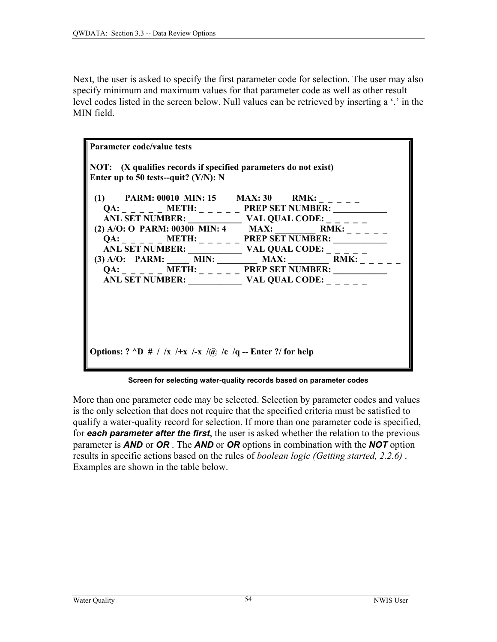Next, the user is asked to specify the first parameter code for selection. The user may also specify minimum and maximum values for that parameter code as well as other result level codes listed in the screen below. Null values can be retrieved by inserting a '.' in the MIN field.

| Parameter code/value tests                                                                   |                                                               |  |
|----------------------------------------------------------------------------------------------|---------------------------------------------------------------|--|
|                                                                                              |                                                               |  |
| $\parallel$ NOT: (X qualifies records if specified parameters do not exist)                  |                                                               |  |
| Enter up to 50 tests--quit? $(Y/N)$ : N                                                      |                                                               |  |
|                                                                                              |                                                               |  |
| (1) PARM: 00010 MIN: 15 MAX: 30 RMK: $\frac{1}{2}$                                           |                                                               |  |
|                                                                                              | $QA:$ _ _ _ _ _ METH: _ _ _ _ _ PREP SET NUMBER:              |  |
|                                                                                              |                                                               |  |
|                                                                                              | (2) A/O: O PARM: 00300 MIN: 4 MAX: RMK: _ _ _ _ _             |  |
|                                                                                              |                                                               |  |
|                                                                                              | ANL SET NUMBER: $\_\_$ VAL QUAL CODE: $\_\_$                  |  |
|                                                                                              | (3) A/O: PARM: _____ MIN: ________ MAX: ________ RMK: _ _ _ _ |  |
|                                                                                              | $QA:$ _ _ _ _ _ METH: _ _ _ _ _ PREP SET NUMBER:              |  |
|                                                                                              | ANL SET NUMBER: $\_\_\_$ VAL QUAL CODE: $\_\_$                |  |
|                                                                                              |                                                               |  |
|                                                                                              |                                                               |  |
|                                                                                              |                                                               |  |
|                                                                                              |                                                               |  |
|                                                                                              |                                                               |  |
|                                                                                              |                                                               |  |
|                                                                                              |                                                               |  |
| Options: $? \triangleleft D \# / /x \# x \# x \# \sqrt{a} \# c \sqrt{q}$ - Enter ?/ for help |                                                               |  |
|                                                                                              |                                                               |  |
|                                                                                              |                                                               |  |

**Screen for selecting water-quality records based on parameter codes** 

More than one parameter code may be selected. Selection by parameter codes and values is the only selection that does not require that the specified criteria must be satisfied to qualify a water-quality record for selection. If more than one parameter code is specified, for *each parameter after the first*, the user is asked whether the relation to the previous parameter is *AND* or *OR* . The *AND* or *OR* options in combination with the *NOT* option results in specific actions based on the rules of *boolean logic (Getting started, 2.2.6)* . Examples are shown in the table below.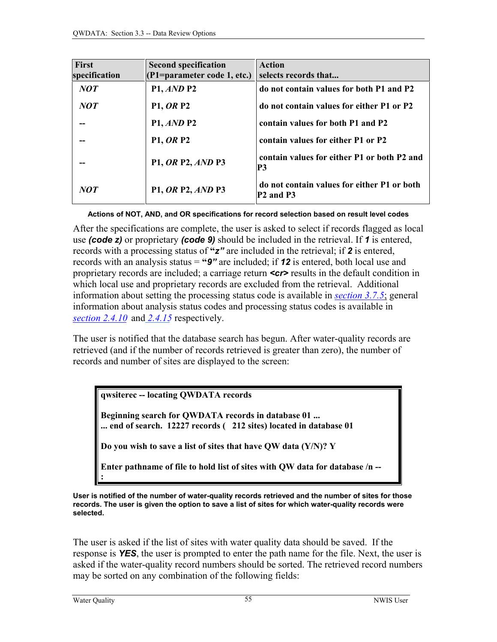| <b>First</b><br>specification | <b>Second specification</b><br>(P1=parameter code 1, etc.) | <b>Action</b><br>selects records that                                            |
|-------------------------------|------------------------------------------------------------|----------------------------------------------------------------------------------|
| NOT                           | <b>P1, AND P2</b>                                          | do not contain values for both P1 and P2                                         |
| NOT                           | <b>P1, OR P2</b>                                           | do not contain values for either P1 or P2                                        |
| --                            | P1, AND P2                                                 | contain values for both P1 and P2                                                |
| --                            | <b>P1, OR P2</b>                                           | contain values for either P1 or P2                                               |
| --                            | <b>P1, OR P2, AND P3</b>                                   | contain values for either P1 or both P2 and<br>P3                                |
| NOT                           | <b>P1, OR P2, AND P3</b>                                   | do not contain values for either P1 or both<br>P <sub>2</sub> and P <sub>3</sub> |

**Actions of NOT, AND, and OR specifications for record selection based on result level codes** 

After the specifications are complete, the user is asked to select if records flagged as local use *(code z)* or proprietary *(code 9)* should be included in the retrieval. If *1* is entered, records with a processing status of **"***z"* are included in the retrieval; if *2* is entered, records with an analysis status = **"***9"* are included; if *12* is entered, both local use and proprietary records are included; a carriage return *<cr>* results in the default condition in which local use and proprietary records are excluded from the retrieval. Additional information about setting the processing status code is available in *[section 3.7.5](#page-2-0)*; general information about analysis status codes and processing status codes is available in *[section 2.4.10](#page-6-0)* and *[2.4.15](#page-7-0)* respectively.

The user is notified that the database search has begun. After water-quality records are retrieved (and if the number of records retrieved is greater than zero), the number of records and number of sites are displayed to the screen:

**qwsiterec -- locating QWDATA records** 

**Beginning search for QWDATA records in database 01 ... ... end of search. 12227 records ( 212 sites) located in database 01** 

**Do you wish to save a list of sites that have QW data (Y/N)? Y** 

**Enter pathname of file to hold list of sites with QW data for database /n -- :**

**User is notified of the number of water-quality records retrieved and the number of sites for those records. The user is given the option to save a list of sites for which water-quality records were selected.** 

The user is asked if the list of sites with water quality data should be saved. If the response is *YES*, the user is prompted to enter the path name for the file. Next, the user is asked if the water-quality record numbers should be sorted. The retrieved record numbers may be sorted on any combination of the following fields: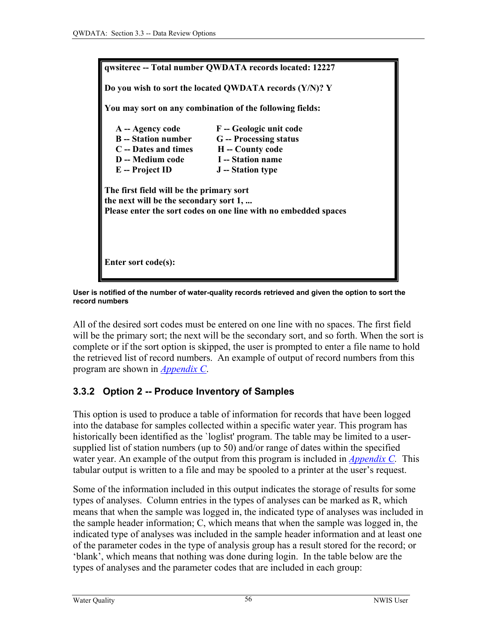

**User is notified of the number of water-quality records retrieved and given the option to sort the record numbers**

All of the desired sort codes must be entered on one line with no spaces. The first field will be the primary sort; the next will be the secondary sort, and so forth. When the sort is complete or if the sort option is skipped, the user is prompted to enter a file name to hold the retrieved list of record numbers. An example of output of record numbers from this program are shown in *[Appendix C](#page-0-0)*.

# **3.3.2 Option 2 -- Produce Inventory of Samples**

This option is used to produce a table of information for records that have been logged into the database for samples collected within a specific water year. This program has historically been identified as the `loglist' program. The table may be limited to a usersupplied list of station numbers (up to 50) and/or range of dates within the specified water year. An example of the output from this program is included in *[Appendix C.](#page-0-0)* This tabular output is written to a file and may be spooled to a printer at the user's request.

Some of the information included in this output indicates the storage of results for some types of analyses. Column entries in the types of analyses can be marked as R, which means that when the sample was logged in, the indicated type of analyses was included in the sample header information; C, which means that when the sample was logged in, the indicated type of analyses was included in the sample header information and at least one of the parameter codes in the type of analysis group has a result stored for the record; or 'blank', which means that nothing was done during login. In the table below are the types of analyses and the parameter codes that are included in each group: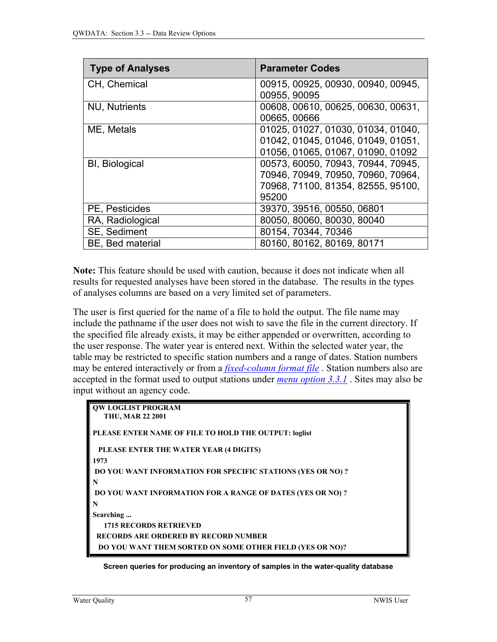| <b>Type of Analyses</b> | <b>Parameter Codes</b>             |
|-------------------------|------------------------------------|
| CH, Chemical            | 00915, 00925, 00930, 00940, 00945, |
|                         | 00955, 90095                       |
| <b>NU, Nutrients</b>    | 00608, 00610, 00625, 00630, 00631, |
|                         | 00665,00666                        |
| ME, Metals              | 01025, 01027, 01030, 01034, 01040, |
|                         | 01042, 01045, 01046, 01049, 01051, |
|                         | 01056, 01065, 01067, 01090, 01092  |
| <b>BI, Biological</b>   | 00573, 60050, 70943, 70944, 70945, |
|                         | 70946, 70949, 70950, 70960, 70964, |
|                         | 70968, 71100, 81354, 82555, 95100, |
|                         | 95200                              |
| PE, Pesticides          | 39370, 39516, 00550, 06801         |
| RA, Radiological        | 80050, 80060, 80030, 80040         |
| SE, Sediment            | 80154, 70344, 70346                |
| BE, Bed material        | 80160, 80162, 80169, 80171         |

**Note:** This feature should be used with caution, because it does not indicate when all results for requested analyses have been stored in the database. The results in the types of analyses columns are based on a very limited set of parameters.

The user is first queried for the name of a file to hold the output. The file name may include the pathname if the user does not wish to save the file in the current directory. If the specified file already exists, it may be either appended or overwritten, according to the user response. The water year is entered next. Within the selected water year, the table may be restricted to specific station numbers and a range of dates. Station numbers may be entered interactively or from a *[fixed-column format file](#page-0-0)* . Station numbers also are accepted in the format used to output stations under *[menu option 3.3.1](#page-0-0)* . Sites may also be input without an agency code.

```
QW LOGLIST PROGRAM 
   THU, MAR 22 2001 
PLEASE ENTER NAME OF FILE TO HOLD THE OUTPUT: loglist 
  PLEASE ENTER THE WATER YEAR (4 DIGITS) 
1973 
 DO YOU WANT INFORMATION FOR SPECIFIC STATIONS (YES OR NO) ? 
N 
 DO YOU WANT INFORMATION FOR A RANGE OF DATES (YES OR NO) ? 
N 
Searching ... 
   1715 RECORDS RETRIEVED 
 RECORDS ARE ORDERED BY RECORD NUMBER 
  DO YOU WANT THEM SORTED ON SOME OTHER FIELD (YES OR NO)?
```
**Screen queries for producing an inventory of samples in the water-quality database**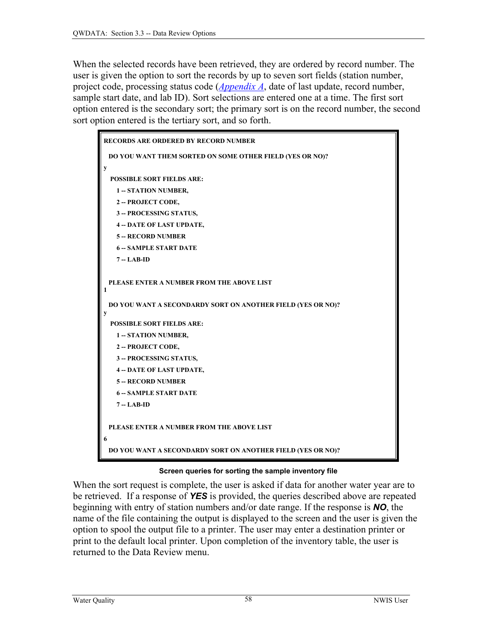<span id="page-13-0"></span>When the selected records have been retrieved, they are ordered by record number. The user is given the option to sort the records by up to seven sort fields (station number, project code, processing status code (*[Appendix A](#page-0-0)*, date of last update, record number, sample start date, and lab ID). Sort selections are entered one at a time. The first sort option entered is the secondary sort; the primary sort is on the record number, the second sort option entered is the tertiary sort, and so forth.



### **Screen queries for sorting the sample inventory file**

When the sort request is complete, the user is asked if data for another water year are to be retrieved. If a response of *YES* is provided, the queries described above are repeated beginning with entry of station numbers and/or date range. If the response is *NO*, the name of the file containing the output is displayed to the screen and the user is given the option to spool the output file to a printer. The user may enter a destination printer or print to the default local printer. Upon completion of the inventory table, the user is returned to the Data Review menu.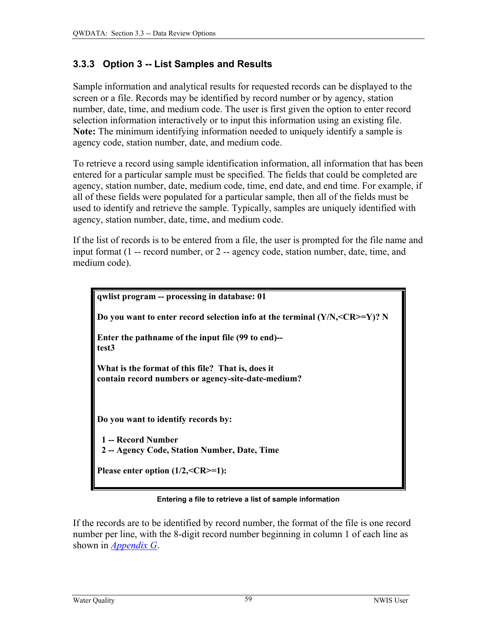# **3.3.3 Option 3 -- List Samples and Results**

Sample information and analytical results for requested records can be displayed to the screen or a file. Records may be identified by record number or by agency, station number, date, time, and medium code. The user is first given the option to enter record selection information interactively or to input this information using an existing file. **Note:** The minimum identifying information needed to uniquely identify a sample is agency code, station number, date, and medium code.

To retrieve a record using sample identification information, all information that has been entered for a particular sample must be specified. The fields that could be completed are agency, station number, date, medium code, time, end date, and end time. For example, if all of these fields were populated for a particular sample, then all of the fields must be used to identify and retrieve the sample. Typically, samples are uniquely identified with agency, station number, date, time, and medium code.

If the list of records is to be entered from a file, the user is prompted for the file name and input format (1 -- record number, or 2 -- agency code, station number, date, time, and medium code).

| qwlist program -- processing in database: 01                                                            |
|---------------------------------------------------------------------------------------------------------|
| Do you want to enter record selection info at the terminal $(Y/N, <\nC R>=Y)$ ? N                       |
| Enter the pathname of the input file (99 to end)--<br>test <sub>3</sub>                                 |
| What is the format of this file? That is, does it<br>contain record numbers or agency-site-date-medium? |
| Do you want to identify records by:                                                                     |
| 1 -- Record Number                                                                                      |
| 2 -- Agency Code, Station Number, Date, Time                                                            |
| Please enter option $(1/2, =1)$ :                                                                       |

### **Entering a file to retrieve a list of sample information**

If the records are to be identified by record number, the format of the file is one record number per line, with the 8-digit record number beginning in column 1 of each line as shown in *[Appendix G](#page-0-0)*.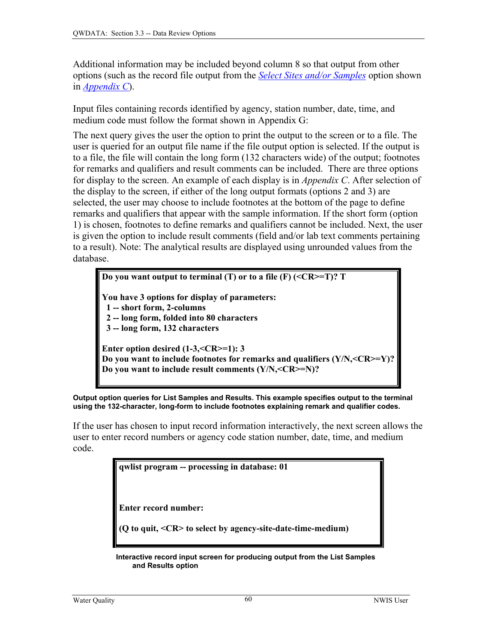Additional information may be included beyond column 8 so that output from other options (such as the record file output from the *[Select Sites and/or Samples](#page-1-0)* option shown in *[Appendix C](#page-0-0)*).

Input files containing records identified by agency, station number, date, time, and medium code must follow the format shown in Appendix G:

The next query gives the user the option to print the output to the screen or to a file. The user is queried for an output file name if the file output option is selected. If the output is to a file, the file will contain the long form (132 characters wide) of the output; footnotes for remarks and qualifiers and result comments can be included. There are three options for display to the screen. An example of each display is in *Appendix C*. After selection of the display to the screen, if either of the long output formats (options 2 and 3) are selected, the user may choose to include footnotes at the bottom of the page to define remarks and qualifiers that appear with the sample information. If the short form (option 1) is chosen, footnotes to define remarks and qualifiers cannot be included. Next, the user is given the option to include result comments (field and/or lab text comments pertaining to a result). Note: The analytical results are displayed using unrounded values from the database.

**Do you want output to terminal (T) or to a file (F) (<CR>=T)? T You have 3 options for display of parameters: 1 -- short form, 2-columns 2 -- long form, folded into 80 characters 3 -- long form, 132 characters Enter option desired (1-3,<CR>=1): 3 Do you want to include footnotes for remarks and qualifiers (Y/N,<CR>=Y)? Do you want to include result comments (Y/N,<CR>=N)?** 

**Output option queries for List Samples and Results. This example specifies output to the terminal using the 132-character, long-form to include footnotes explaining remark and qualifier codes.** 

If the user has chosen to input record information interactively, the next screen allows the user to enter record numbers or agency code station number, date, time, and medium code.

**qwlist program -- processing in database: 01** 

**Enter record number:** 

**(Q to quit, <CR> to select by agency-site-date-time-medium)** 

 **Interactive record input screen for producing output from the List Samples and Results option**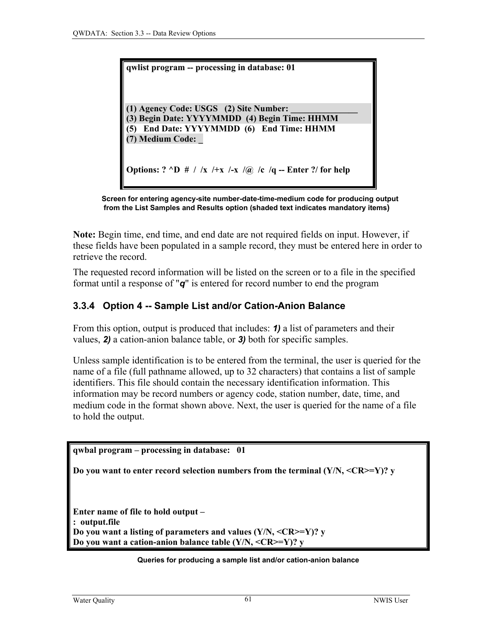**qwlist program -- processing in database: 01** 

**(1) Agency Code: USGS (2) Site Number: (3) Begin Date: YYYYMMDD (4) Begin Time: HHMM (5) End Date: YYYYMMDD (6) End Time: HHMM (7) Medium Code: \_** 

**Options:** ? ^D # / /x /+x /-x /@ /c /q -- Enter ?/ for help



**Note:** Begin time, end time, and end date are not required fields on input. However, if these fields have been populated in a sample record, they must be entered here in order to retrieve the record.

The requested record information will be listed on the screen or to a file in the specified format until a response of "*q*" is entered for record number to end the program

# **3.3.4 Option 4 -- Sample List and/or Cation-Anion Balance**

From this option, output is produced that includes: *1)* a list of parameters and their values, *2)* a cation-anion balance table, or *3)* both for specific samples.

Unless sample identification is to be entered from the terminal, the user is queried for the name of a file (full pathname allowed, up to 32 characters) that contains a list of sample identifiers. This file should contain the necessary identification information. This information may be record numbers or agency code, station number, date, time, and medium code in the format shown above. Next, the user is queried for the name of a file to hold the output.

```
qwbal program – processing in database: 01 
Do you want to enter record selection numbers from the terminal (Y/N, <CR>=Y)? y 
Enter name of file to hold output – 
: output.file 
Do you want a listing of parameters and values (Y/N, <CR>=Y)? y 
Do you want a cation-anion balance table (Y/N, <CR>=Y)? y
```
#### **Queries for producing a sample list and/or cation-anion balance**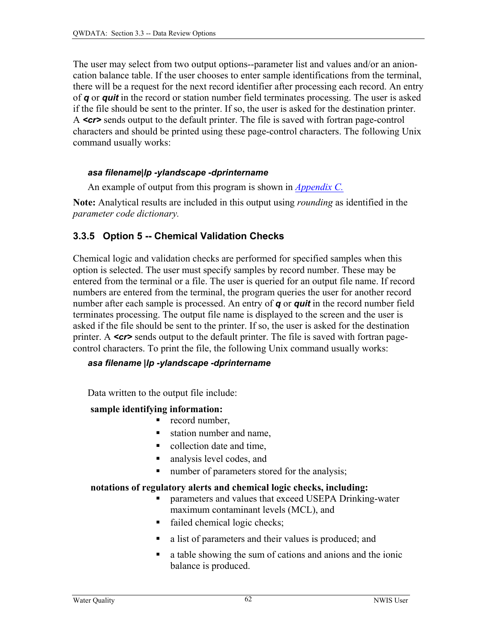The user may select from two output options--parameter list and values and/or an anioncation balance table. If the user chooses to enter sample identifications from the terminal, there will be a request for the next record identifier after processing each record. An entry of *q* or *quit* in the record or station number field terminates processing. The user is asked if the file should be sent to the printer. If so, the user is asked for the destination printer. A *<cr>* sends output to the default printer. The file is saved with fortran page-control characters and should be printed using these page-control characters. The following Unix command usually works:

# *asa filename|lp -ylandscape -dprintername*

An example of output from this program is shown in *[Appendix C.](#page-0-0)*

**Note:** Analytical results are included in this output using *rounding* as identified in the *parameter code dictionary.*

# **3.3.5 Option 5 -- Chemical Validation Checks**

Chemical logic and validation checks are performed for specified samples when this option is selected. The user must specify samples by record number. These may be entered from the terminal or a file. The user is queried for an output file name. If record numbers are entered from the terminal, the program queries the user for another record number after each sample is processed. An entry of *q* or *quit* in the record number field terminates processing. The output file name is displayed to the screen and the user is asked if the file should be sent to the printer. If so, the user is asked for the destination printer. A *<cr>* sends output to the default printer. The file is saved with fortran pagecontrol characters. To print the file, the following Unix command usually works:

# *asa filename |lp -ylandscape -dprintername*

Data written to the output file include:

# **sample identifying information:**

- record number,
- station number and name,
- collection date and time,
- analysis level codes, and
- number of parameters stored for the analysis;

# **notations of regulatory alerts and chemical logic checks, including:**

- parameters and values that exceed USEPA Drinking-water maximum contaminant levels (MCL), and
- failed chemical logic checks;
- a list of parameters and their values is produced; and
- a table showing the sum of cations and anions and the ionic balance is produced.